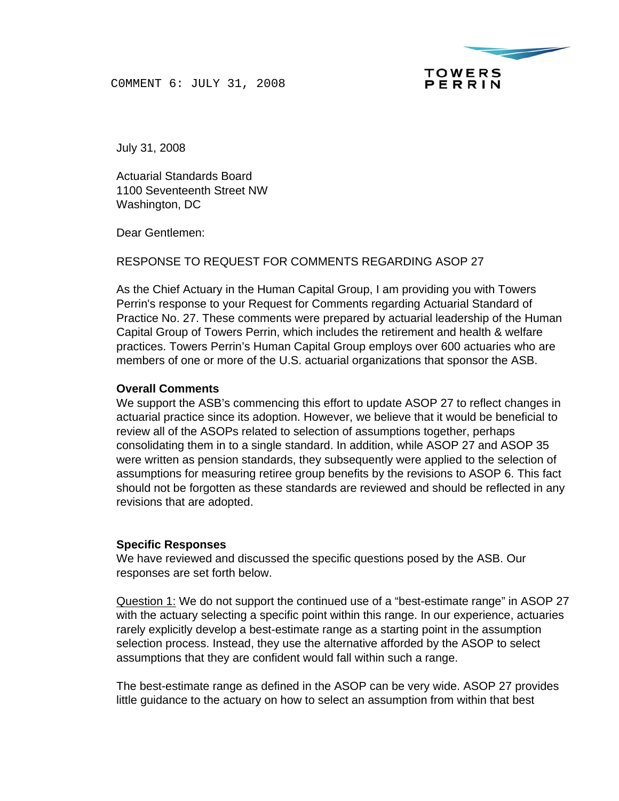

C0MMENT 6: JULY 31, 2008

July 31, 2008

Actuarial Standards Board 1100 Seventeenth Street NW Washington, DC

Dear Gentlemen:

RESPONSE TO REQUEST FOR COMMENTS REGARDING ASOP 27

As the Chief Actuary in the Human Capital Group, I am providing you with Towers Perrin's response to your Request for Comments regarding Actuarial Standard of Practice No. 27. These comments were prepared by actuarial leadership of the Human Capital Group of Towers Perrin, which includes the retirement and health & welfare practices. Towers Perrin's Human Capital Group employs over 600 actuaries who are members of one or more of the U.S. actuarial organizations that sponsor the ASB.

## **Overall Comments**

We support the ASB's commencing this effort to update ASOP 27 to reflect changes in actuarial practice since its adoption. However, we believe that it would be beneficial to review all of the ASOPs related to selection of assumptions together, perhaps consolidating them in to a single standard. In addition, while ASOP 27 and ASOP 35 were written as pension standards, they subsequently were applied to the selection of assumptions for measuring retiree group benefits by the revisions to ASOP 6. This fact should not be forgotten as these standards are reviewed and should be reflected in any revisions that are adopted.

## **Specific Responses**

We have reviewed and discussed the specific questions posed by the ASB. Our responses are set forth below.

Question 1: We do not support the continued use of a "best-estimate range" in ASOP 27 with the actuary selecting a specific point within this range. In our experience, actuaries rarely explicitly develop a best-estimate range as a starting point in the assumption selection process. Instead, they use the alternative afforded by the ASOP to select assumptions that they are confident would fall within such a range.

The best-estimate range as defined in the ASOP can be very wide. ASOP 27 provides little guidance to the actuary on how to select an assumption from within that best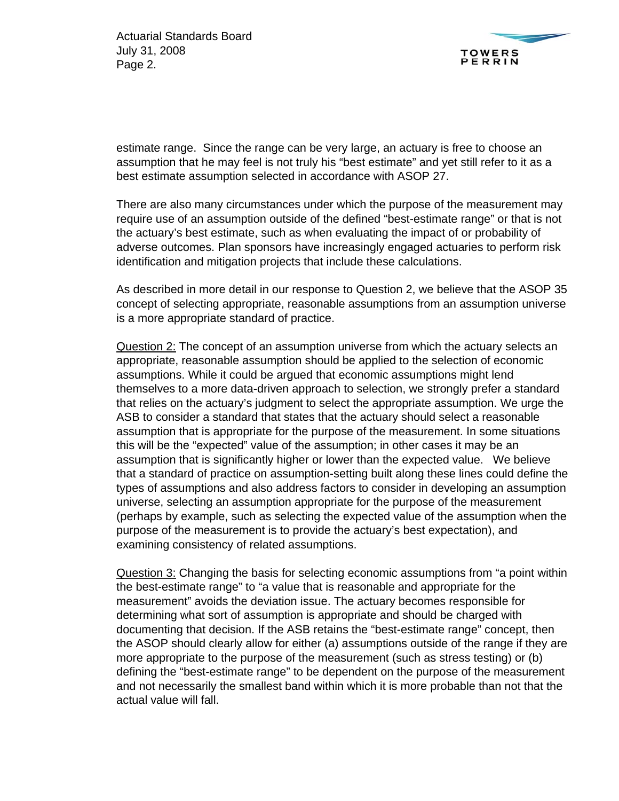

estimate range. Since the range can be very large, an actuary is free to choose an assumption that he may feel is not truly his "best estimate" and yet still refer to it as a best estimate assumption selected in accordance with ASOP 27.

There are also many circumstances under which the purpose of the measurement may require use of an assumption outside of the defined "best-estimate range" or that is not the actuary's best estimate, such as when evaluating the impact of or probability of adverse outcomes. Plan sponsors have increasingly engaged actuaries to perform risk identification and mitigation projects that include these calculations.

As described in more detail in our response to Question 2, we believe that the ASOP 35 concept of selecting appropriate, reasonable assumptions from an assumption universe is a more appropriate standard of practice.

Question 2: The concept of an assumption universe from which the actuary selects an appropriate, reasonable assumption should be applied to the selection of economic assumptions. While it could be argued that economic assumptions might lend themselves to a more data-driven approach to selection, we strongly prefer a standard that relies on the actuary's judgment to select the appropriate assumption. We urge the ASB to consider a standard that states that the actuary should select a reasonable assumption that is appropriate for the purpose of the measurement. In some situations this will be the "expected" value of the assumption; in other cases it may be an assumption that is significantly higher or lower than the expected value. We believe that a standard of practice on assumption-setting built along these lines could define the types of assumptions and also address factors to consider in developing an assumption universe, selecting an assumption appropriate for the purpose of the measurement (perhaps by example, such as selecting the expected value of the assumption when the purpose of the measurement is to provide the actuary's best expectation), and examining consistency of related assumptions.

Question 3: Changing the basis for selecting economic assumptions from "a point within the best-estimate range" to "a value that is reasonable and appropriate for the measurement" avoids the deviation issue. The actuary becomes responsible for determining what sort of assumption is appropriate and should be charged with documenting that decision. If the ASB retains the "best-estimate range" concept, then the ASOP should clearly allow for either (a) assumptions outside of the range if they are more appropriate to the purpose of the measurement (such as stress testing) or (b) defining the "best-estimate range" to be dependent on the purpose of the measurement and not necessarily the smallest band within which it is more probable than not that the actual value will fall.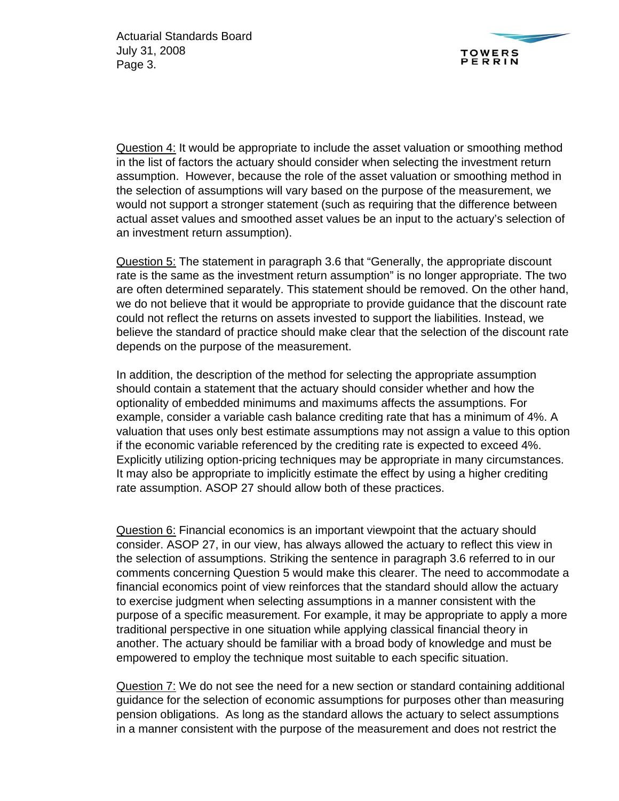

Question 4: It would be appropriate to include the asset valuation or smoothing method in the list of factors the actuary should consider when selecting the investment return assumption. However, because the role of the asset valuation or smoothing method in the selection of assumptions will vary based on the purpose of the measurement, we would not support a stronger statement (such as requiring that the difference between actual asset values and smoothed asset values be an input to the actuary's selection of an investment return assumption).

Question 5: The statement in paragraph 3.6 that "Generally, the appropriate discount rate is the same as the investment return assumption" is no longer appropriate. The two are often determined separately. This statement should be removed. On the other hand, we do not believe that it would be appropriate to provide guidance that the discount rate could not reflect the returns on assets invested to support the liabilities. Instead, we believe the standard of practice should make clear that the selection of the discount rate depends on the purpose of the measurement.

In addition, the description of the method for selecting the appropriate assumption should contain a statement that the actuary should consider whether and how the optionality of embedded minimums and maximums affects the assumptions. For example, consider a variable cash balance crediting rate that has a minimum of 4%. A valuation that uses only best estimate assumptions may not assign a value to this option if the economic variable referenced by the crediting rate is expected to exceed 4%. Explicitly utilizing option-pricing techniques may be appropriate in many circumstances. It may also be appropriate to implicitly estimate the effect by using a higher crediting rate assumption. ASOP 27 should allow both of these practices.

Question 6: Financial economics is an important viewpoint that the actuary should consider. ASOP 27, in our view, has always allowed the actuary to reflect this view in the selection of assumptions. Striking the sentence in paragraph 3.6 referred to in our comments concerning Question 5 would make this clearer. The need to accommodate a financial economics point of view reinforces that the standard should allow the actuary to exercise judgment when selecting assumptions in a manner consistent with the purpose of a specific measurement. For example, it may be appropriate to apply a more traditional perspective in one situation while applying classical financial theory in another. The actuary should be familiar with a broad body of knowledge and must be empowered to employ the technique most suitable to each specific situation.

Question 7: We do not see the need for a new section or standard containing additional guidance for the selection of economic assumptions for purposes other than measuring pension obligations. As long as the standard allows the actuary to select assumptions in a manner consistent with the purpose of the measurement and does not restrict the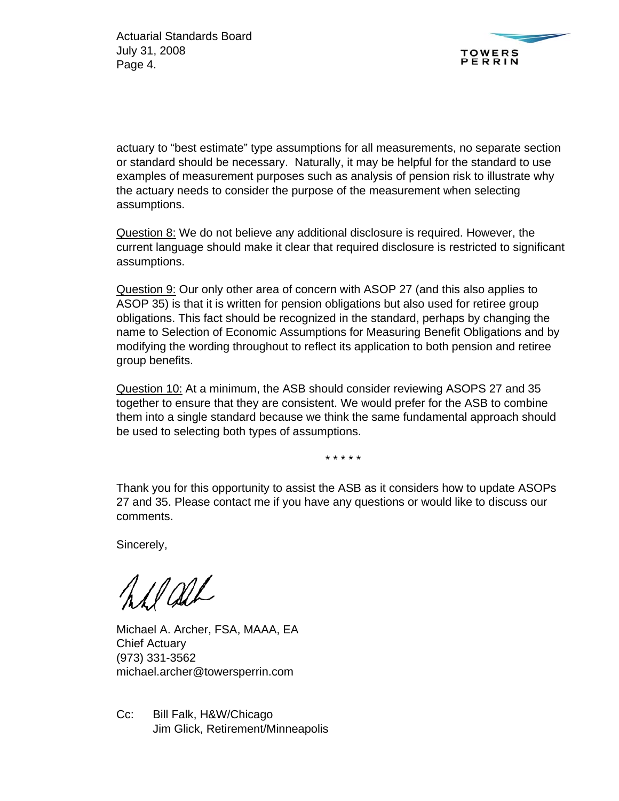

actuary to "best estimate" type assumptions for all measurements, no separate section or standard should be necessary. Naturally, it may be helpful for the standard to use examples of measurement purposes such as analysis of pension risk to illustrate why the actuary needs to consider the purpose of the measurement when selecting assumptions.

Question 8: We do not believe any additional disclosure is required. However, the current language should make it clear that required disclosure is restricted to significant assumptions.

Question 9: Our only other area of concern with ASOP 27 (and this also applies to ASOP 35) is that it is written for pension obligations but also used for retiree group obligations. This fact should be recognized in the standard, perhaps by changing the name to Selection of Economic Assumptions for Measuring Benefit Obligations and by modifying the wording throughout to reflect its application to both pension and retiree group benefits.

Question 10: At a minimum, the ASB should consider reviewing ASOPS 27 and 35 together to ensure that they are consistent. We would prefer for the ASB to combine them into a single standard because we think the same fundamental approach should be used to selecting both types of assumptions.

\* \* \* \* \*

Thank you for this opportunity to assist the ASB as it considers how to update ASOPs 27 and 35. Please contact me if you have any questions or would like to discuss our comments.

Sincerely,

Addel

Michael A. Archer, FSA, MAAA, EA Chief Actuary (973) 331-3562 michael.archer@towersperrin.com

Cc: Bill Falk, H&W/Chicago Jim Glick, Retirement/Minneapolis